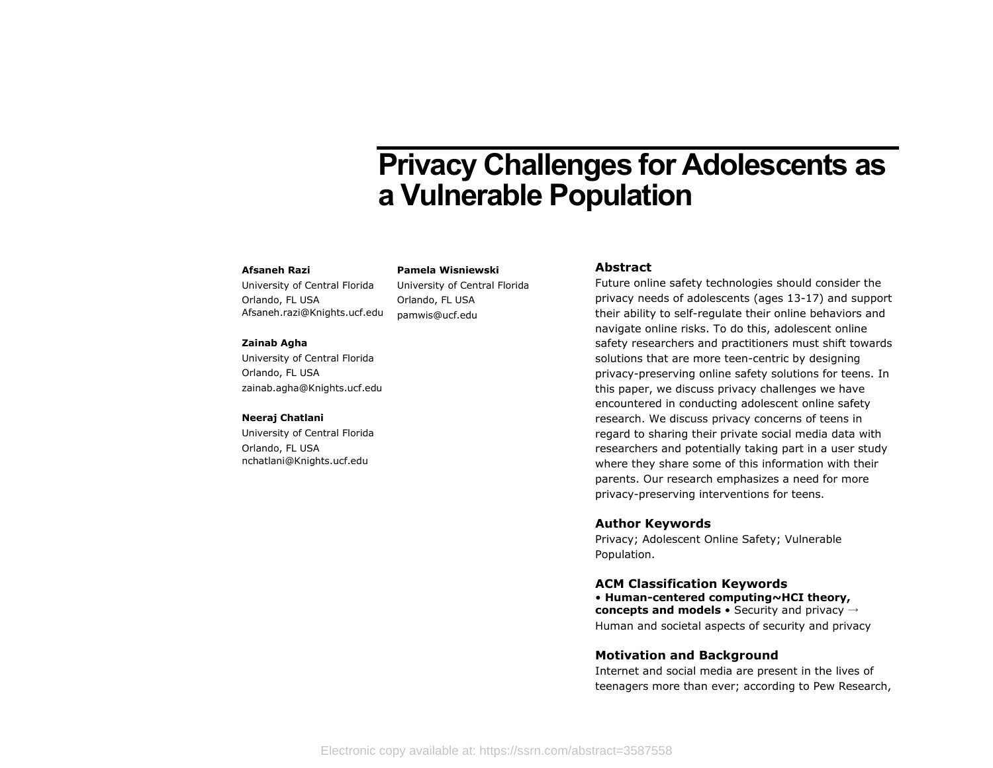# **Privacy Challenges for Adolescents as a Vulnerable Population**

#### **Afsaneh Razi**

University of Central Florida Orlando, FL USA Afsaneh.razi@Knights.ucf.edu

University of Central Florida Orlando, FL USA pamwis@ucf.edu

**Pamela Wisniewski**

#### **Zainab Agha**

University of Central Florida Orlando, FL USA zainab.agha@Knights.ucf.edu

#### **Neeraj Chatlani**

University of Central Florida Orlando, FL USA nchatlani@Knights.ucf.edu

# **Abstract**

Future online safety technologies should consider the privacy needs of adolescents (ages 13-17) and support their ability to self-regulate their online behaviors and navigate online risks. To do this, adolescent online safety researchers and practitioners must shift towards solutions that are more teen-centric by designing privacy-preserving online safety solutions for teens. In this paper, we discuss privacy challenges we have encountered in conducting adolescent online safety research. We discuss privacy concerns of teens in regard to sharing their private social media data with researchers and potentially taking part in a user study where they share some of this information with their parents. Our research emphasizes a need for more privacy-preserving interventions for teens.

## **Author Keywords**

Privacy; Adolescent Online Safety; Vulnerable Population.

#### **ACM Classification Keywords**

• **Human-centered computing~HCI theory, concepts and models** • Security and privacy → Human and societal aspects of security and privacy

## **Motivation and Background**

Internet and social media are present in the lives of teenagers more than ever; according to Pew Research,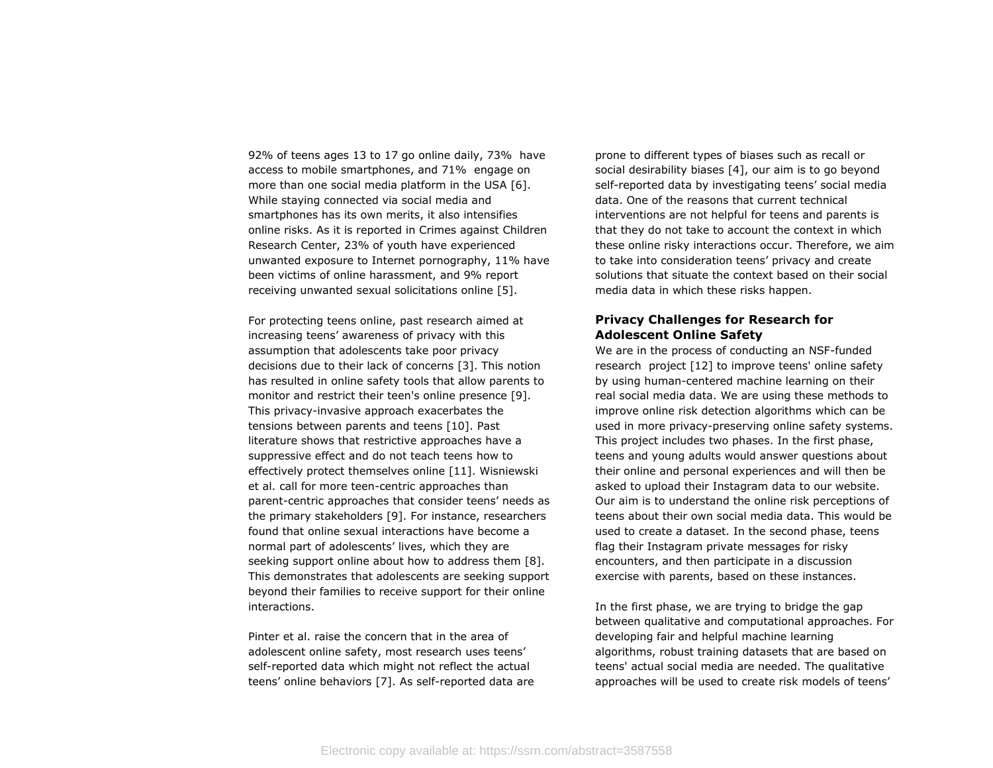92% of teens ages 13 to 17 go online daily, 73% have access to mobile smartphones, and 71% engage on more than one social media platform in the USA [6]. While staying connected via social media and smartphones has its own merits, it also intensifies online risks. As it is reported in Crimes against Children Research Center, 23% of youth have experienced unwanted exposure to Internet pornography, 11% have been victims of online harassment, and 9% report receiving unwanted sexual solicitations online [5].

For protecting teens online, past research aimed at increasing teens' awareness of privacy with this assumption that adolescents take poor privacy decisions due to their lack of concerns [3]. This notion has resulted in online safety tools that allow parents to monitor and restrict their teen's online presence [9]. This privacy-invasive approach exacerbates the tensions between parents and teens [10]. Past literature shows that restrictive approaches have a suppressive effect and do not teach teens how to effectively protect themselves online [11]. Wisniewski et al. call for more teen-centric approaches than parent-centric approaches that consider teens' needs as the primary stakeholders [9]. For instance, researchers found that online sexual interactions have become a normal part of adolescents' lives, which they are seeking support online about how to address them [8]. This demonstrates that adolescents are seeking support beyond their families to receive support for their online interactions.

Pinter et al. raise the concern that in the area of adolescent online safety, most research uses teens' self-reported data which might not reflect the actual teens' online behaviors [7]. As self-reported data are prone to different types of biases such as recall or social desirability biases [4], our aim is to go beyond self-reported data by investigating teens' social media data. One of the reasons that current technical interventions are not helpful for teens and parents is that they do not take to account the context in which these online risky interactions occur. Therefore, we aim to take into consideration teens' privacy and create solutions that situate the context based on their social media data in which these risks happen.

# **Privacy Challenges for Research for Adolescent Online Safety**

We are in the process of conducting an NSF-funded research project [12] to improve teens' online safety by using human-centered machine learning on their real social media data. We are using these methods to improve online risk detection algorithms which can be used in more privacy-preserving online safety systems. This project includes two phases. In the first phase, teens and young adults would answer questions about their online and personal experiences and will then be asked to upload their Instagram data to our website. Our aim is to understand the online risk perceptions of teens about their own social media data. This would be used to create a dataset. In the second phase, teens flag their Instagram private messages for risky encounters, and then participate in a discussion exercise with parents, based on these instances.

In the first phase, we are trying to bridge the gap between qualitative and computational approaches. For developing fair and helpful machine learning algorithms, robust training datasets that are based on teens' actual social media are needed. The qualitative approaches will be used to create risk models of teens'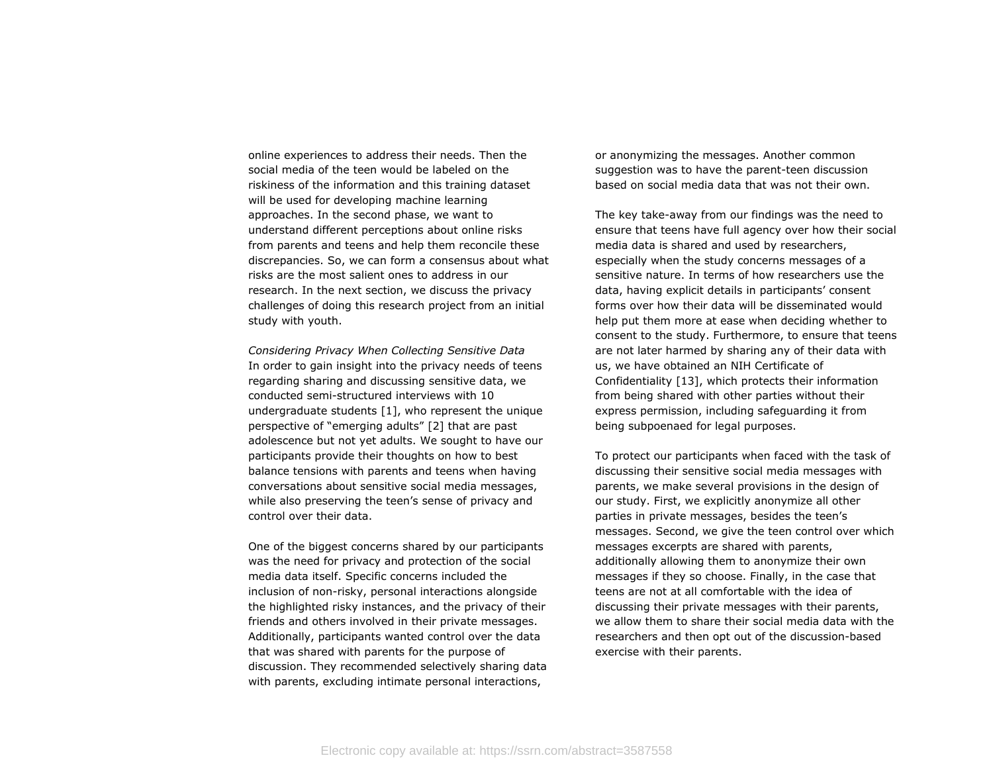online experiences to address their needs. Then the social media of the teen would be labeled on the riskiness of the information and this training dataset will be used for developing machine learning approaches. In the second phase, we want to understand different perceptions about online risks from parents and teens and help them reconcile these discrepancies. So, we can form a consensus about what risks are the most salient ones to address in our research. In the next section, we discuss the privacy challenges of doing this research project from an initial study with youth.

*Considering Privacy When Collecting Sensitive Data*  In order to gain insight into the privacy needs of teens regarding sharing and discussing sensitive data, we conducted semi-structured interviews with 10 undergraduate students [1], who represent the unique perspective of "emerging adults" [2] that are past adolescence but not yet adults. We sought to have our participants provide their thoughts on how to best balance tensions with parents and teens when having conversations about sensitive social media messages, while also preserving the teen's sense of privacy and control over their data.

One of the biggest concerns shared by our participants was the need for privacy and protection of the social media data itself. Specific concerns included the inclusion of non-risky, personal interactions alongside the highlighted risky instances, and the privacy of their friends and others involved in their private messages. Additionally, participants wanted control over the data that was shared with parents for the purpose of discussion. They recommended selectively sharing data with parents, excluding intimate personal interactions,

or anonymizing the messages. Another common suggestion was to have the parent-teen discussion based on social media data that was not their own.

The key take-away from our findings was the need to ensure that teens have full agency over how their social media data is shared and used by researchers, especially when the study concerns messages of a sensitive nature. In terms of how researchers use the data, having explicit details in participants' consent forms over how their data will be disseminated would help put them more at ease when deciding whether to consent to the study. Furthermore, to ensure that teens are not later harmed by sharing any of their data with us, we have obtained an NIH Certificate of Confidentiality [13], which protects their information from being shared with other parties without their express permission, including safeguarding it from being subpoenaed for legal purposes.

To protect our participants when faced with the task of discussing their sensitive social media messages with parents, we make several provisions in the design of our study. First, we explicitly anonymize all other parties in private messages, besides the teen's messages. Second, we give the teen control over which messages excerpts are shared with parents, additionally allowing them to anonymize their own messages if they so choose. Finally, in the case that teens are not at all comfortable with the idea of discussing their private messages with their parents, we allow them to share their social media data with the researchers and then opt out of the discussion-based exercise with their parents.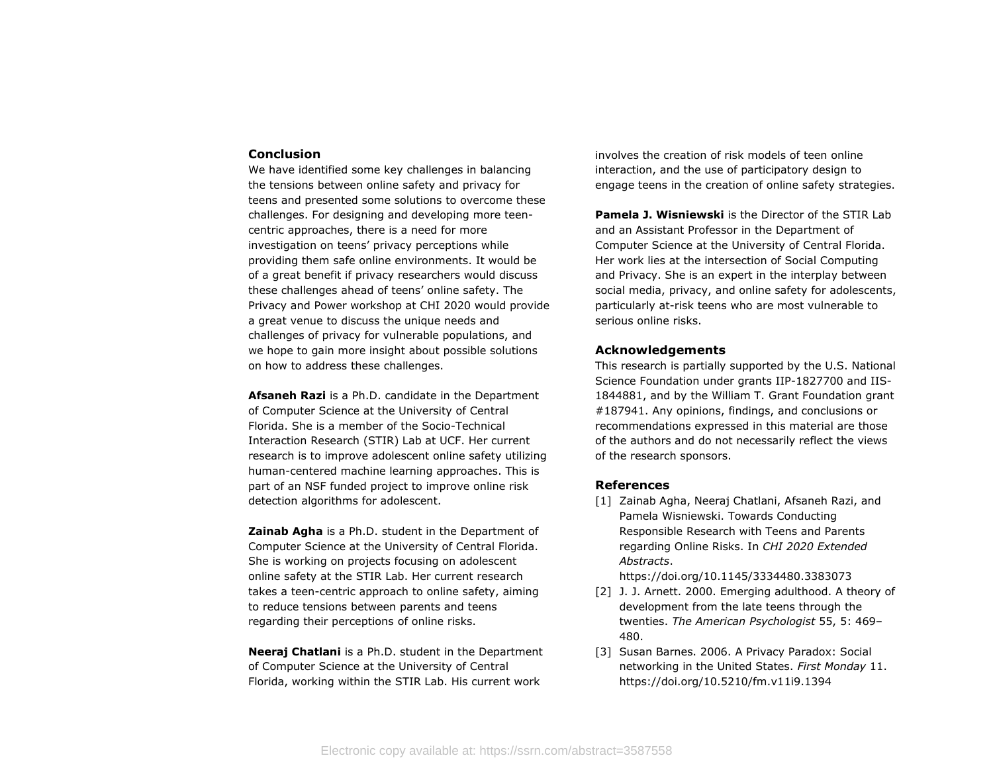#### **Conclusion**

We have identified some key challenges in balancing the tensions between online safety and privacy for teens and presented some solutions to overcome these challenges. For designing and developing more teencentric approaches, there is a need for more investigation on teens' privacy perceptions while providing them safe online environments. It would be of a great benefit if privacy researchers would discuss these challenges ahead of teens' online safety. The Privacy and Power workshop at CHI 2020 would provide a great venue to discuss the unique needs and challenges of privacy for vulnerable populations, and we hope to gain more insight about possible solutions on how to address these challenges.

**Afsaneh Razi** is a Ph.D. candidate in the Department of Computer Science at the University of Central Florida. She is a member of the Socio-Technical Interaction Research (STIR) Lab at UCF. Her current research is to improve adolescent online safety utilizing human-centered machine learning approaches. This is part of an NSF funded project to improve online risk detection algorithms for adolescent.

**Zainab Agha** is a Ph.D. student in the Department of Computer Science at the University of Central Florida. She is working on projects focusing on adolescent online safety at the STIR Lab. Her current research takes a teen-centric approach to online safety, aiming to reduce tensions between parents and teens regarding their perceptions of online risks.

**Neeraj Chatlani** is a Ph.D. student in the Department of Computer Science at the University of Central Florida, working within the STIR Lab. His current work

involves the creation of risk models of teen online interaction, and the use of participatory design to engage teens in the creation of online safety strategies.

**Pamela J. Wisniewski** is the Director of the STIR Lab and an Assistant Professor in the Department of Computer Science at the University of Central Florida. Her work lies at the intersection of Social Computing and Privacy. She is an expert in the interplay between social media, privacy, and online safety for adolescents, particularly at-risk teens who are most vulnerable to serious online risks.

## **Acknowledgements**

This research is partially supported by the U.S. National Science Foundation under grants IIP-1827700 and IIS-1844881, and by the William T. Grant Foundation grant #187941. Any opinions, findings, and conclusions or recommendations expressed in this material are those of the authors and do not necessarily reflect the views of the research sponsors.

### **References**

[1] Zainab Agha, Neeraj Chatlani, Afsaneh Razi, and Pamela Wisniewski. Towards Conducting Responsible Research with Teens and Parents regarding Online Risks. In *CHI 2020 Extended Abstracts*.

https://doi.org/10.1145/3334480.3383073

- [2] J. J. Arnett. 2000. Emerging adulthood. A theory of development from the late teens through the twenties. *The American Psychologist* 55, 5: 469– 480.
- [3] Susan Barnes. 2006. A Privacy Paradox: Social networking in the United States. *First Monday* 11. https://doi.org/10.5210/fm.v11i9.1394